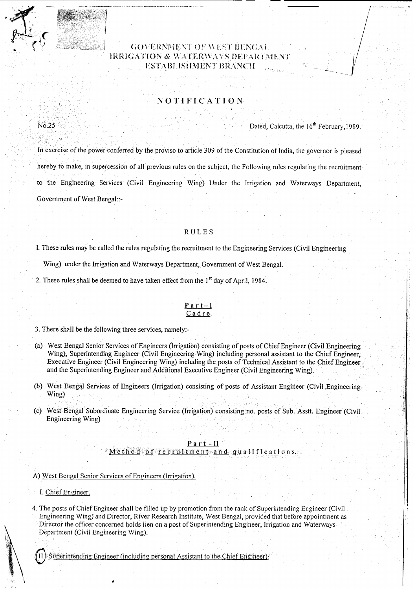# GOVERNMENT OF WEST BENGAI IRRIGATION & WATERWAYS DEPARTMEI ESTABLISHMENT BRANCH

# NOTIFICATION

Dated, Calcutta, the 16<sup>th</sup> February, 1989.

In exercise of the power conferred by the proviso to article 309 of the Constitution of India, the governor is pleased hereby to make, in supercession of all previous rules on the subject, the Following rules regulating the recruitment to the Engineering Services (Civil Engineering Wing) Under the Irrigation and Waterways Department, Government of West Bengal::-

### RULES

l. These rules may be called the rules regulating the recruitment to the Engineering Services (Civil Engineering

Wing) under the Irrigation and Waterways Department, Government of West Bengal.

2. These rules shall be deemed to have taken effect from the  $1<sup>st</sup>$  day of April, 1984.

### Par t-I Cadre.

3. There shall be the following three services, namely.-

(a) West Bengal Senior Services of Engineers (Irrigation) consisting of posts of Chief Engineer (Civil Engineering Wing), Superintending Engineer (Civil Engineering Wing) including personal assistant to the Chief Engineer. Executive Engineer (Civil Engineering Wing) including the posts of Technical Assistant to the Chief Engineer: and the Superintending Engineer and Additional Executive Engineer (Civil Engineering Wing).

(b) West Bengal Services of Engineers (Irrigation) consisting of posts of Assistant Engineer (Civil .Engineering Wing)

(c) West Bengal Subordinate Engineering Service (Irrigation) consisting no. posts of Sub. Asstt. Engineer (Civil Engineering Wing) .

#### Pa rt -II <u>Method of recruitment and qualifications.</u>

A) West Bengal Senior Services of Engineers (lrrigation);

I.Chief Engineer.

4. The posts of Chief Engineer shall be filled up by promotion from the rank of Superintending Engineer (Civil Engineering Wing) and Director, River Research Institute, West Bengal, provided that before appointment as Director the officer concerned holds lien on a post of Superintending Engineer, Irrigation and Waterways Department (Civil Engineering Wing).

II. Superintending Engineer (including personal Assistant to the Chief Engineer)

No.25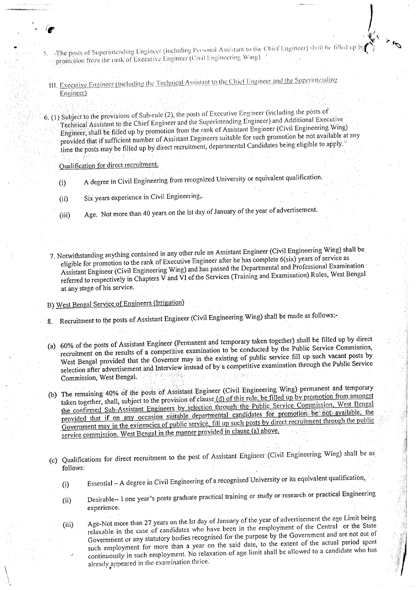- of Superintending Engineer (including Personal Assistant to the Chief Engineer) shall be filled up by  $\left\{\begin{matrix} \downarrow \\ \downarrow \end{matrix}\right\}$ promotion from the rank of Executive Engineer (Civil Engineering Wing)
- III, Executive Engineer (including the Technical Assistant to the Chief Engineer and the Superintending Engineer)

6. (1) Subject to the provisions of Sub-rule (2), the posts of Executive Engineer (including the posts of Technical Assistant to the Chief Engineer and the Superintending Engineer) and Additional Executive Engineer, shall be filled up by promotion from the rank of Assistant Engineer (Civil Engineering Wing) provided that if sufficient number of Assistant Engineers suitable for such promotion be not available at any time the posts may be filled up by direct recruitment, departmental Candidates being eligible to apply."

Qualification for direct recruitment.

...

 $\backslash$  $\mathcal{E}$ 

- (i) A degree in Civil Engineering from recognized University or equivalent qualification.
- (ii) Six years experience in Civil Engineering,.
- (iii) Age. Not more than 40 years on the 1stday of January of the year of advertisement.
- 7. Notwithstanding anything contained in any other rule an Assistant Engineer (Civil Engineering Wing) shall be, eligible for promotion to the rank of Executive Engineer after he has complete 6(six) years of service as Assistant Engineer (Civil Engineering Wing) and has passed the Departmental and Professional Examination' referred to respectively in Chapters V and VI of the Services (Training and Examination) Rules, West Bengal at any stage of his service.

# B) West Bengal Service of Engineers (Irrigation)

- 8. Recruitment to the posts of Assistant Engineer (Civil Engineering Wing) shall be made as follows:-
- (a) 60% of the posts of Assistant Engineer (Permanent and temporary taken together) shall be filled up by direct recruitment on the results of a competitive examination to be conducted by the Public Service Commission, West Bengal provided that the Governor may in the existing of public service fill up such vacant posts by selection after advertisement and Interview instead of by a competitive examination through the Public Service Commission, West Bengal.
- (b) The remaining 40% of the posts of Assistant Engineer (Civil Engineering Wing) permanent and temporary The remaining 40% of the posts of Assistant Engineer (Civil Engineering wing) permaining and only engineering<br>taken together, shall, subject to the provision of clause (d) of this rule, be filled up by promotion from among taken together, shall, subject to the provision of clause (d) of this rule, be fined up by promotion. West Bengal<br>the confirmed Sub-Assistant Engineers by selection through the Public Service Commission, West Bengal the confirmed Sub-Assistant Engineers by selection unough the rubble for promotion be not available, the provided that if on any occasion suitable departmental candidates for promotion be not available, the provided that if on any occasion suitable departmental candidates for promotion between through the public<br>Government may in the exigencies of public service, fill up such posts by direct recruitment through the public Sovernment may in the exigencies of public services in the ratio (a) above.
- (c) Qualifications for direct recruitment to the post of Assistant Engineer (Civil Engineering Wing) shall be as follows:
	- (i) Essential A degree in Civil Engineering of a recognised University or its equivalent qualification,
	- (ii) Desirable-- I one year's posts graduate practical training or study or research or practical Engineering experience.
	- (iii) Age-Not more than 27 years on the 1stday of January of the year of advertisement the age Limit being relaxable in the case of candidates who have been in the employment of the Central or the State Government or any statutory bodies recognised for the purpose by the Government and are not out of such employment for more than a year on the said date, to the extent of the actual period spent continuously in such employment. No relaxation of age limit shall be allowed to a candidate who has already appeared in the examination thrice.